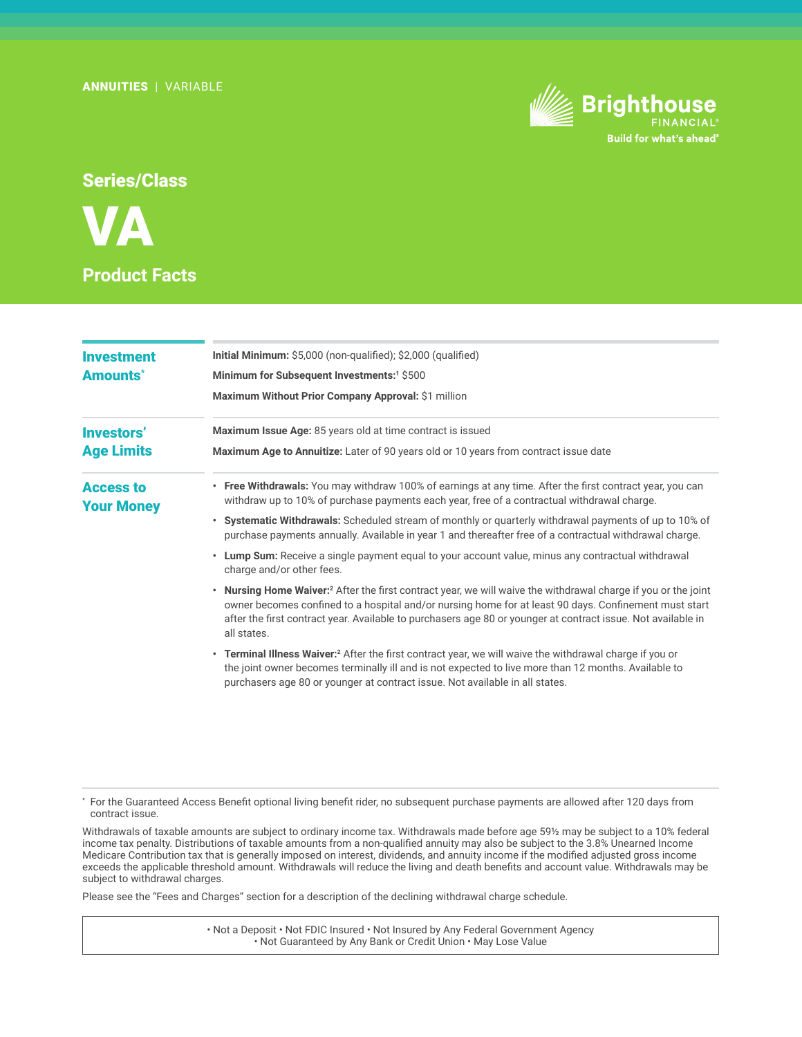

# Series/Class



| Initial Minimum: \$5,000 (non-qualified); \$2,000 (qualified)<br>Minimum for Subsequent Investments: <sup>1</sup> \$500<br>Maximum Without Prior Company Approval: \$1 million<br>Maximum Issue Age: 85 years old at time contract is issued<br>Maximum Age to Annuitize: Later of 90 years old or 10 years from contract issue date<br>• Free Withdrawals: You may withdraw 100% of earnings at any time. After the first contract year, you can<br>withdraw up to 10% of purchase payments each year, free of a contractual withdrawal charge.<br><b>Your Money</b><br>• Systematic Withdrawals: Scheduled stream of monthly or quarterly withdrawal payments of up to 10% of<br>purchase payments annually. Available in year 1 and thereafter free of a contractual withdrawal charge.<br>Lump Sum: Receive a single payment equal to your account value, minus any contractual withdrawal<br>$\bullet$<br>charge and/or other fees.<br><b>Nursing Home Waiver:</b> <sup>2</sup> After the first contract year, we will waive the withdrawal charge if you or the joint<br>٠<br>owner becomes confined to a hospital and/or nursing home for at least 90 days. Confinement must start<br>after the first contract year. Available to purchasers age 80 or younger at contract issue. Not available in<br>all states.<br>• Terminal Illness Waiver: <sup>2</sup> After the first contract year, we will waive the withdrawal charge if you or<br>the joint owner becomes terminally ill and is not expected to live more than 12 months. Available to<br>purchasers age 80 or younger at contract issue. Not available in all states. |                   |  |
|------------------------------------------------------------------------------------------------------------------------------------------------------------------------------------------------------------------------------------------------------------------------------------------------------------------------------------------------------------------------------------------------------------------------------------------------------------------------------------------------------------------------------------------------------------------------------------------------------------------------------------------------------------------------------------------------------------------------------------------------------------------------------------------------------------------------------------------------------------------------------------------------------------------------------------------------------------------------------------------------------------------------------------------------------------------------------------------------------------------------------------------------------------------------------------------------------------------------------------------------------------------------------------------------------------------------------------------------------------------------------------------------------------------------------------------------------------------------------------------------------------------------------------------------------------------------------------------------------------------------------------------|-------------------|--|
|                                                                                                                                                                                                                                                                                                                                                                                                                                                                                                                                                                                                                                                                                                                                                                                                                                                                                                                                                                                                                                                                                                                                                                                                                                                                                                                                                                                                                                                                                                                                                                                                                                          | <b>Investment</b> |  |
|                                                                                                                                                                                                                                                                                                                                                                                                                                                                                                                                                                                                                                                                                                                                                                                                                                                                                                                                                                                                                                                                                                                                                                                                                                                                                                                                                                                                                                                                                                                                                                                                                                          | <b>Amounts*</b>   |  |
|                                                                                                                                                                                                                                                                                                                                                                                                                                                                                                                                                                                                                                                                                                                                                                                                                                                                                                                                                                                                                                                                                                                                                                                                                                                                                                                                                                                                                                                                                                                                                                                                                                          |                   |  |
|                                                                                                                                                                                                                                                                                                                                                                                                                                                                                                                                                                                                                                                                                                                                                                                                                                                                                                                                                                                                                                                                                                                                                                                                                                                                                                                                                                                                                                                                                                                                                                                                                                          | Investors'        |  |
|                                                                                                                                                                                                                                                                                                                                                                                                                                                                                                                                                                                                                                                                                                                                                                                                                                                                                                                                                                                                                                                                                                                                                                                                                                                                                                                                                                                                                                                                                                                                                                                                                                          | <b>Age Limits</b> |  |
|                                                                                                                                                                                                                                                                                                                                                                                                                                                                                                                                                                                                                                                                                                                                                                                                                                                                                                                                                                                                                                                                                                                                                                                                                                                                                                                                                                                                                                                                                                                                                                                                                                          | <b>Access to</b>  |  |
|                                                                                                                                                                                                                                                                                                                                                                                                                                                                                                                                                                                                                                                                                                                                                                                                                                                                                                                                                                                                                                                                                                                                                                                                                                                                                                                                                                                                                                                                                                                                                                                                                                          |                   |  |
|                                                                                                                                                                                                                                                                                                                                                                                                                                                                                                                                                                                                                                                                                                                                                                                                                                                                                                                                                                                                                                                                                                                                                                                                                                                                                                                                                                                                                                                                                                                                                                                                                                          |                   |  |
|                                                                                                                                                                                                                                                                                                                                                                                                                                                                                                                                                                                                                                                                                                                                                                                                                                                                                                                                                                                                                                                                                                                                                                                                                                                                                                                                                                                                                                                                                                                                                                                                                                          |                   |  |
|                                                                                                                                                                                                                                                                                                                                                                                                                                                                                                                                                                                                                                                                                                                                                                                                                                                                                                                                                                                                                                                                                                                                                                                                                                                                                                                                                                                                                                                                                                                                                                                                                                          |                   |  |
|                                                                                                                                                                                                                                                                                                                                                                                                                                                                                                                                                                                                                                                                                                                                                                                                                                                                                                                                                                                                                                                                                                                                                                                                                                                                                                                                                                                                                                                                                                                                                                                                                                          |                   |  |

\* For the Guaranteed Access Benefit optional living benefit rider, no subsequent purchase payments are allowed after 120 days from contract issue.

Withdrawals of taxable amounts are subject to ordinary income tax. Withdrawals made before age 59½ may be subject to a 10% federal income tax penalty. Distributions of taxable amounts from a non-qualified annuity may also be subject to the 3.8% Unearned Income Medicare Contribution tax that is generally imposed on interest, dividends, and annuity income if the modified adjusted gross income exceeds the applicable threshold amount. Withdrawals will reduce the living and death benefits and account value. Withdrawals may be subject to withdrawal charges.

Please see the "Fees and Charges" section for a description of the declining withdrawal charge schedule.

• Not a Deposit • Not FDIC Insured • Not Insured by Any Federal Government Agency • Not Guaranteed by Any Bank or Credit Union • May Lose Value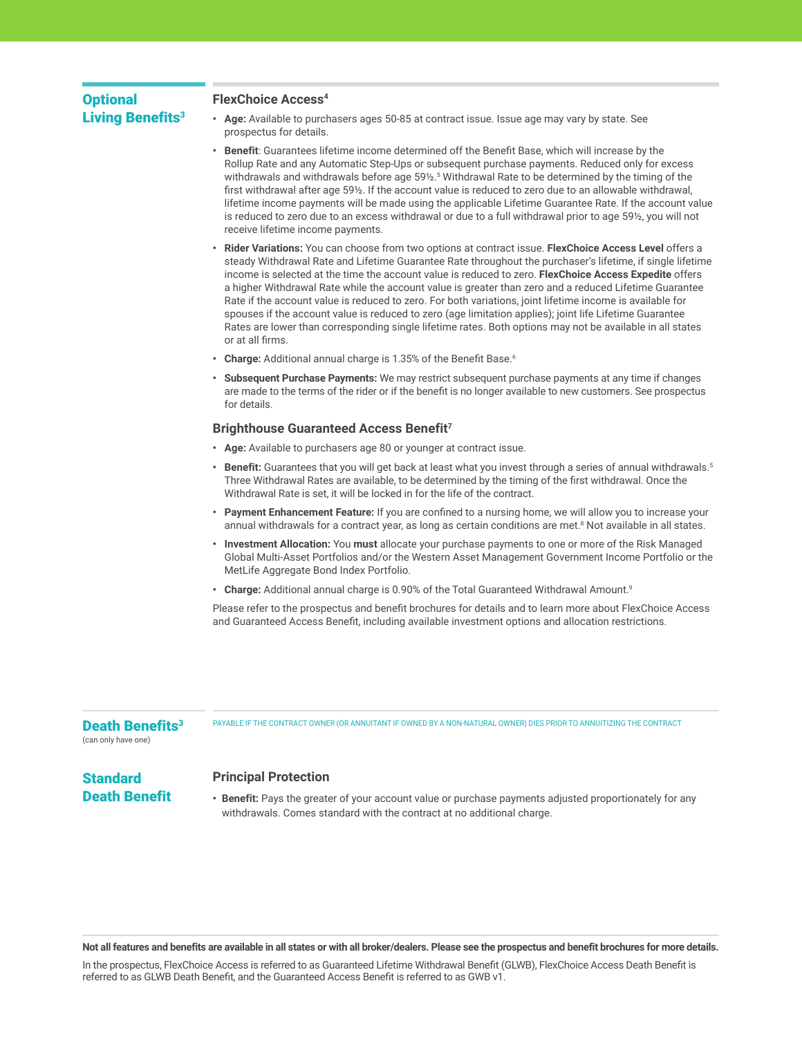## **Optional** Living Benefits<sup>3</sup>

### **FlexChoice Access4**

- **• Age:** Available to purchasers ages 50-85 at contract issue. Issue age may vary by state. See prospectus for details.
- **• Benefit**: Guarantees lifetime income determined off the Benefit Base, which will increase by the Rollup Rate and any Automatic Step-Ups or subsequent purchase payments. Reduced only for excess withdrawals and withdrawals before age 59½.<sup>5</sup> Withdrawal Rate to be determined by the timing of the first withdrawal after age 59½. If the account value is reduced to zero due to an allowable withdrawal, lifetime income payments will be made using the applicable Lifetime Guarantee Rate. If the account value is reduced to zero due to an excess withdrawal or due to a full withdrawal prior to age 591/2, you will not receive lifetime income payments.
- **• Rider Variations:** You can choose from two options at contract issue. **FlexChoice Access Level** offers a steady Withdrawal Rate and Lifetime Guarantee Rate throughout the purchaser's lifetime, if single lifetime income is selected at the time the account value is reduced to zero. **FlexChoice Access Expedite** offers a higher Withdrawal Rate while the account value is greater than zero and a reduced Lifetime Guarantee Rate if the account value is reduced to zero. For both variations, joint lifetime income is available for spouses if the account value is reduced to zero (age limitation applies); joint life Lifetime Guarantee Rates are lower than corresponding single lifetime rates. Both options may not be available in all states or at all firms.
- **• Charge:** Additional annual charge is 1.35% of the Benefit Base.<sup>6</sup>
- **• Subsequent Purchase Payments:** We may restrict subsequent purchase payments at any time if changes are made to the terms of the rider or if the benefit is no longer available to new customers. See prospectus for details.

#### **Brighthouse Guaranteed Access Benefit7**

- **• Age:** Available to purchasers age 80 or younger at contract issue.
- **• Benefit:** Guarantees that you will get back at least what you invest through a series of annual withdrawals.5 Three Withdrawal Rates are available, to be determined by the timing of the first withdrawal. Once the Withdrawal Rate is set, it will be locked in for the life of the contract.
- **• Payment Enhancement Feature:** If you are confined to a nursing home, we will allow you to increase your annual withdrawals for a contract year, as long as certain conditions are met.<sup>8</sup> Not available in all states.
- **• Investment Allocation:** You **must** allocate your purchase payments to one or more of the Risk Managed Global Multi-Asset Portfolios and/or the Western Asset Management Government Income Portfolio or the MetLife Aggregate Bond Index Portfolio.
- **• Charge:** Additional annual charge is 0.90% of the Total Guaranteed Withdrawal Amount.9

Please refer to the prospectus and benefit brochures for details and to learn more about FlexChoice Access and Guaranteed Access Benefit, including available investment options and allocation restrictions.

### Death Benefits<sup>3</sup>

PAYABLE IF THE CONTRACT OWNER (OR ANNUITANT IF OWNED BY A NON-NATURAL OWNER) DIES PRIOR TO ANNUITIZING THE CONTRACT

(can only have one)

**Standard** 

### Death Benefit **Principal Protection**

**• Benefit:** Pays the greater of your account value or purchase payments adjusted proportionately for any withdrawals. Comes standard with the contract at no additional charge.

**Not all features and benefits are available in all states or with all broker/dealers. Please see the prospectus and benefit brochures for more details.** 

In the prospectus, FlexChoice Access is referred to as Guaranteed Lifetime Withdrawal Benefit (GLWB), FlexChoice Access Death Benefit is referred to as GLWB Death Benefit, and the Guaranteed Access Benefit is referred to as GWB v1.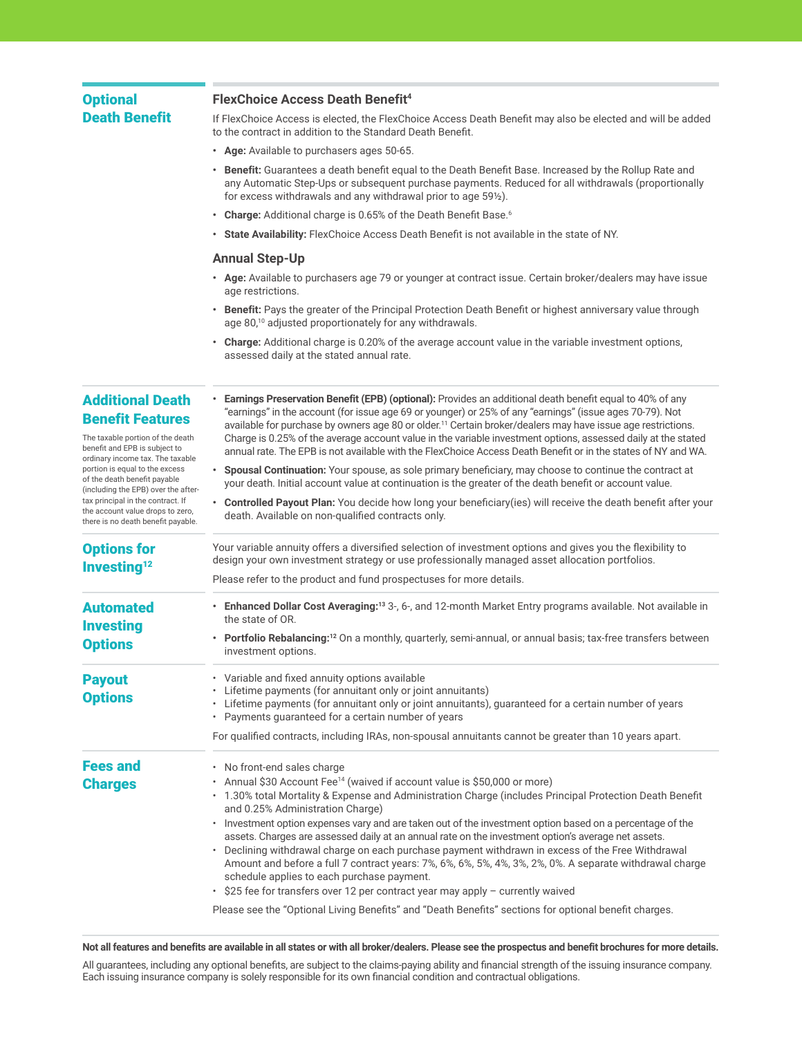## **Optional** Death Benefit

### **FlexChoice Access Death Benefit4**

If FlexChoice Access is elected, the FlexChoice Access Death Benefit may also be elected and will be added to the contract in addition to the Standard Death Benefit.

- **• Age:** Available to purchasers ages 50-65.
- **• Benefit:** Guarantees a death benefit equal to the Death Benefit Base. Increased by the Rollup Rate and any Automatic Step-Ups or subsequent purchase payments. Reduced for all withdrawals (proportionally for excess withdrawals and any withdrawal prior to age 59½).
- **• Charge:** Additional charge is 0.65% of the Death Benefit Base.<sup>6</sup>
- **• State Availability:** FlexChoice Access Death Benefit is not available in the state of NY.

#### **Annual Step-Up**

- **• Age:** Available to purchasers age 79 or younger at contract issue. Certain broker/dealers may have issue age restrictions.
- **• Benefit:** Pays the greater of the Principal Protection Death Benefit or highest anniversary value through age 80,<sup>10</sup> adjusted proportionately for any withdrawals.

**• Earnings Preservation Benefit (EPB) (optional):** Provides an additional death benefit equal to 40% of any

**• Charge:** Additional charge is 0.20% of the average account value in the variable investment options, assessed daily at the stated annual rate.

# Additional Death Benefit Features

The taxable portion of the death benefit and EPB is subject to ordinary income tax. The taxabl portion is equal to the excess of the death benefit payable (including the EPB) over the after tax principal in the contract. If the account value drops to zero there is no death benefit payabl

Options for Investing $12$ 

Automated Investing **Options** 

Fees and **Charges** 

| le        | "earnings" in the account (for issue age 69 or younger) or 25% of any "earnings" (issue ages 70-79). Not<br>available for purchase by owners age 80 or older. <sup>11</sup> Certain broker/dealers may have issue age restrictions.<br>Charge is 0.25% of the average account value in the variable investment options, assessed daily at the stated<br>annual rate. The EPB is not available with the FlexChoice Access Death Benefit or in the states of NY and WA. |
|-----------|-----------------------------------------------------------------------------------------------------------------------------------------------------------------------------------------------------------------------------------------------------------------------------------------------------------------------------------------------------------------------------------------------------------------------------------------------------------------------|
| er-       | Spousal Continuation: Your spouse, as sole primary beneficiary, may choose to continue the contract at<br>your death. Initial account value at continuation is the greater of the death benefit or account value.                                                                                                                                                                                                                                                     |
| ),<br>le. | <b>Controlled Payout Plan:</b> You decide how long your beneficiary (ies) will receive the death benefit after your<br>death. Available on non-qualified contracts only.                                                                                                                                                                                                                                                                                              |
|           | Your variable annuity offers a diversified selection of investment options and gives you the flexibility to<br>design your own investment strategy or use professionally managed asset allocation portfolios.                                                                                                                                                                                                                                                         |
|           | Please refer to the product and fund prospectuses for more details.                                                                                                                                                                                                                                                                                                                                                                                                   |
|           | <b>Enhanced Dollar Cost Averaging:</b> <sup>13</sup> 3-, 6-, and 12-month Market Entry programs available. Not available in<br>$\bullet$<br>the state of OR.                                                                                                                                                                                                                                                                                                          |
|           | Portfolio Rebalancing: <sup>12</sup> On a monthly, quarterly, semi-annual, or annual basis; tax-free transfers between<br>$\bullet$<br>investment options.                                                                                                                                                                                                                                                                                                            |

Payout **Options** • Variable and fixed annuity options available Lifetime payments (for annuitant only or joint annuitants)

• Lifetime payments (for annuitant only or joint annuitants), guaranteed for a certain number of years • Payments guaranteed for a certain number of years

For qualified contracts, including IRAs, non-spousal annuitants cannot be greater than 10 years apart.

• No front-end sales charge

- Annual \$30 Account Fee<sup>14</sup> (waived if account value is \$50,000 or more)
- 1.30% total Mortality & Expense and Administration Charge (includes Principal Protection Death Benefit and 0.25% Administration Charge)
	- Investment option expenses vary and are taken out of the investment option based on a percentage of the assets. Charges are assessed daily at an annual rate on the investment option's average net assets.
	- Declining withdrawal charge on each purchase payment withdrawn in excess of the Free Withdrawal Amount and before a full 7 contract years: 7%, 6%, 6%, 5%, 4%, 3%, 2%, 0%. A separate withdrawal charge schedule applies to each purchase payment.
	- \$25 fee for transfers over 12 per contract year may apply currently waived

Please see the "Optional Living Benefits" and "Death Benefits" sections for optional benefit charges.

**Not all features and benefits are available in all states or with all broker/dealers. Please see the prospectus and benefit brochures for more details.** 

All guarantees, including any optional benefits, are subject to the claims-paying ability and financial strength of the issuing insurance company. Each issuing insurance company is solely responsible for its own financial condition and contractual obligations.